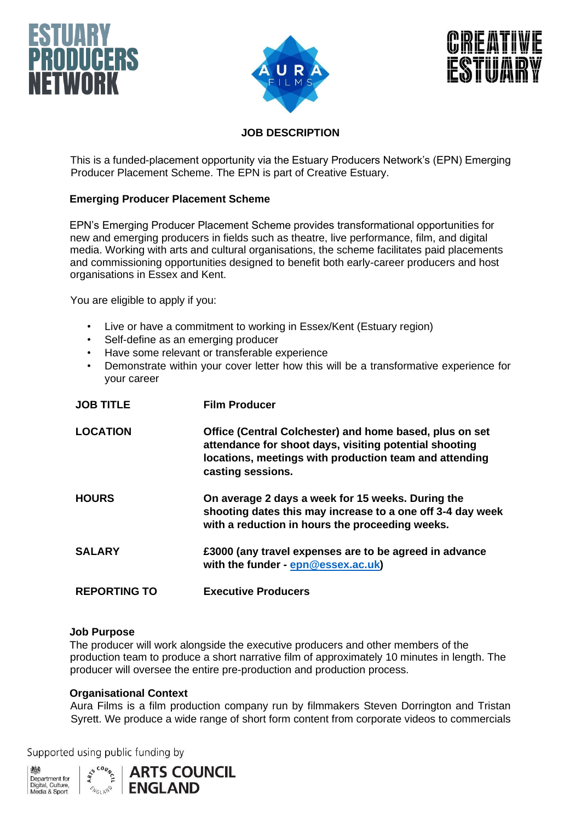





## **JOB DESCRIPTION**

This is a funded-placement opportunity via the Estuary Producers Network's (EPN) Emerging Producer Placement Scheme. The EPN is part of Creative Estuary.

### **Emerging Producer Placement Scheme**

EPN's Emerging Producer Placement Scheme provides transformational opportunities for new and emerging producers in fields such as theatre, live performance, film, and digital media. Working with arts and cultural organisations, the scheme facilitates paid placements and commissioning opportunities designed to benefit both early-career producers and host organisations in Essex and Kent.

You are eligible to apply if you:

- Live or have a commitment to working in Essex/Kent (Estuary region)
- Self-define as an emerging producer
- Have some relevant or transferable experience
- Demonstrate within your cover letter how this will be a transformative experience for your career

| <b>JOB TITLE</b>    | <b>Film Producer</b>                                                                                                                                                                             |  |
|---------------------|--------------------------------------------------------------------------------------------------------------------------------------------------------------------------------------------------|--|
| <b>LOCATION</b>     | Office (Central Colchester) and home based, plus on set<br>attendance for shoot days, visiting potential shooting<br>locations, meetings with production team and attending<br>casting sessions. |  |
| <b>HOURS</b>        | On average 2 days a week for 15 weeks. During the<br>shooting dates this may increase to a one off 3-4 day week<br>with a reduction in hours the proceeding weeks.                               |  |
| <b>SALARY</b>       | £3000 (any travel expenses are to be agreed in advance<br>with the funder - epn@essex.ac.uk)                                                                                                     |  |
| <b>REPORTING TO</b> | <b>Executive Producers</b>                                                                                                                                                                       |  |

#### **Job Purpose**

The producer will work alongside the executive producers and other members of the production team to produce a short narrative film of approximately 10 minutes in length. The producer will oversee the entire pre-production and production process.

#### **Organisational Context**

Aura Films is a film production company run by filmmakers Steven Dorrington and Tristan Syrett. We produce a wide range of short form content from corporate videos to commercials

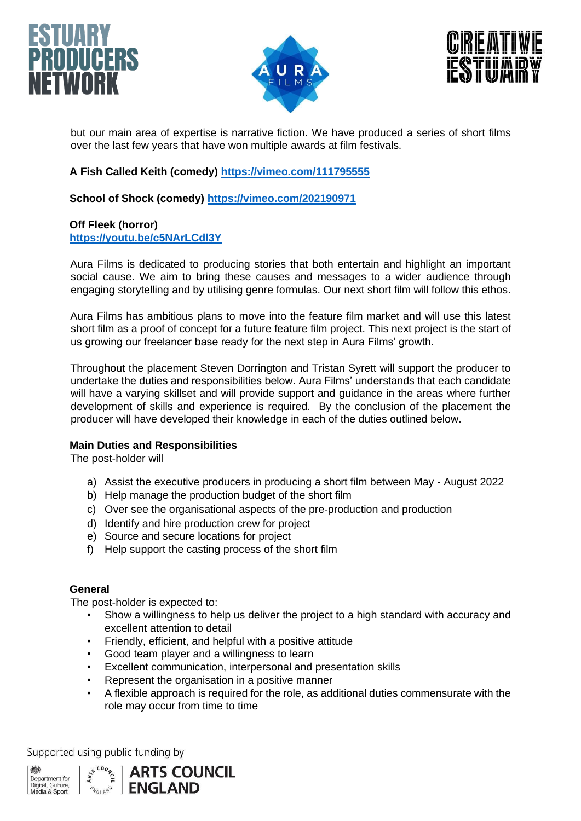





but our main area of expertise is narrative fiction. We have produced a series of short films over the last few years that have won multiple awards at film festivals.

## **A Fish Called Keith (comedy)<https://vimeo.com/111795555>**

**School of Shock (comedy)<https://vimeo.com/202190971>**

## **Off Fleek (horror) <https://youtu.be/c5NArLCdl3Y>**

Aura Films is dedicated to producing stories that both entertain and highlight an important social cause. We aim to bring these causes and messages to a wider audience through engaging storytelling and by utilising genre formulas. Our next short film will follow this ethos.

Aura Films has ambitious plans to move into the feature film market and will use this latest short film as a proof of concept for a future feature film project. This next project is the start of us growing our freelancer base ready for the next step in Aura Films' growth.

Throughout the placement Steven Dorrington and Tristan Syrett will support the producer to undertake the duties and responsibilities below. Aura Films' understands that each candidate will have a varying skillset and will provide support and guidance in the areas where further development of skills and experience is required. By the conclusion of the placement the producer will have developed their knowledge in each of the duties outlined below.

## **Main Duties and Responsibilities**

The post-holder will

- a) Assist the executive producers in producing a short film between May August 2022
- b) Help manage the production budget of the short film
- c) Over see the organisational aspects of the pre-production and production
- d) Identify and hire production crew for project
- e) Source and secure locations for project
- f) Help support the casting process of the short film

## **General**

The post-holder is expected to:

- Show a willingness to help us deliver the project to a high standard with accuracy and excellent attention to detail
- Friendly, efficient, and helpful with a positive attitude
- Good team player and a willingness to learn
- Excellent communication, interpersonal and presentation skills
- Represent the organisation in a positive manner
- A flexible approach is required for the role, as additional duties commensurate with the role may occur from time to time

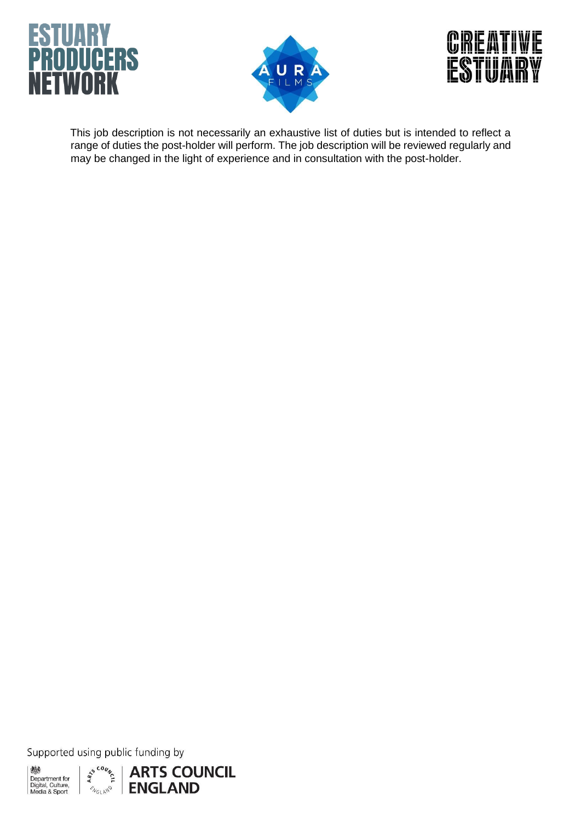





This job description is not necessarily an exhaustive list of duties but is intended to reflect a range of duties the post-holder will perform. The job description will be reviewed regularly and may be changed in the light of experience and in consultation with the post-holder.

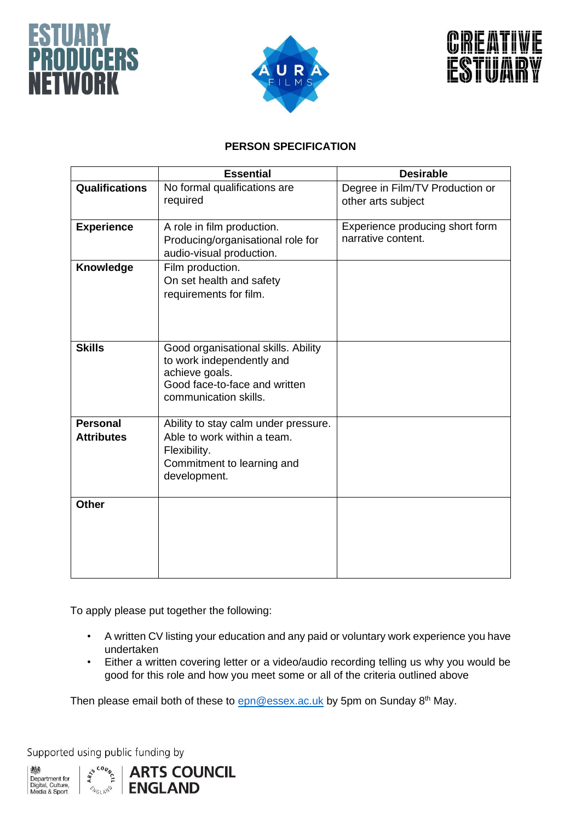





# **PERSON SPECIFICATION**

|                                      | <b>Essential</b>                                                                                                                             | <b>Desirable</b>                                      |
|--------------------------------------|----------------------------------------------------------------------------------------------------------------------------------------------|-------------------------------------------------------|
| <b>Qualifications</b>                | No formal qualifications are<br>required                                                                                                     | Degree in Film/TV Production or<br>other arts subject |
| <b>Experience</b>                    | A role in film production.<br>Producing/organisational role for<br>audio-visual production.                                                  | Experience producing short form<br>narrative content. |
| Knowledge                            | Film production.<br>On set health and safety<br>requirements for film.                                                                       |                                                       |
| <b>Skills</b>                        | Good organisational skills. Ability<br>to work independently and<br>achieve goals.<br>Good face-to-face and written<br>communication skills. |                                                       |
| <b>Personal</b><br><b>Attributes</b> | Ability to stay calm under pressure.<br>Able to work within a team.<br>Flexibility.<br>Commitment to learning and<br>development.            |                                                       |
| <b>Other</b>                         |                                                                                                                                              |                                                       |

To apply please put together the following:

- A written CV listing your education and any paid or voluntary work experience you have undertaken
- Either a written covering letter or a video/audio recording telling us why you would be good for this role and how you meet some or all of the criteria outlined above

Then please email both of these to  $epn@essex.ac.uk$  by 5pm on Sunday 8<sup>th</sup> May.